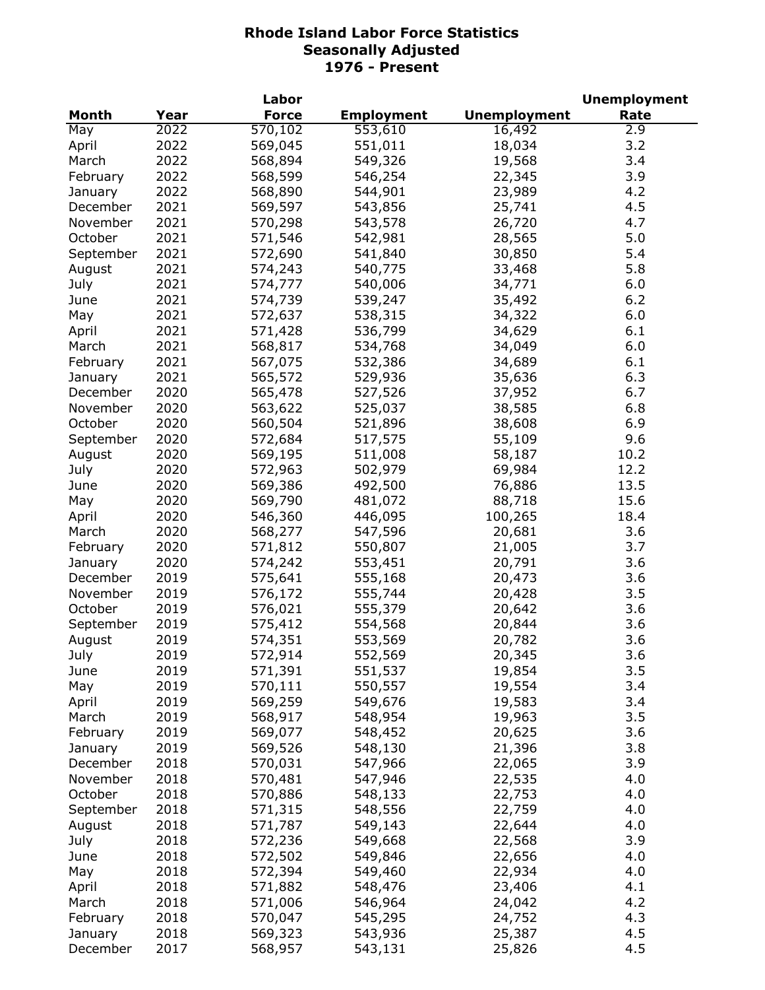|              |      | Labor              |                   |                     | <b>Unemployment</b> |
|--------------|------|--------------------|-------------------|---------------------|---------------------|
| <b>Month</b> | Year | <b>Force</b>       | <b>Employment</b> | <b>Unemployment</b> | Rate                |
| May          | 2022 | 570,102            | 553,610           | 16,492              | 2.9                 |
| April        | 2022 | 569,045            | 551,011           | 18,034              | 3.2                 |
| March        | 2022 | 568,894            | 549,326           | 19,568              | 3.4                 |
| February     | 2022 | 568,599            | 546,254           | 22,345              | 3.9                 |
| January      | 2022 | 568,890            | 544,901           | 23,989              | 4.2                 |
| December     | 2021 | 569,597            | 543,856           | 25,741              | 4.5                 |
| November     | 2021 | 570,298            | 543,578           | 26,720              | 4.7                 |
| October      | 2021 | 571,546            | 542,981           | 28,565              | 5.0                 |
| September    | 2021 | 572,690            | 541,840           | 30,850              | 5.4                 |
| August       | 2021 | 574,243            | 540,775           | 33,468              | 5.8                 |
|              | 2021 | 574,777            | 540,006           | 34,771              | 6.0                 |
| July         |      |                    |                   |                     |                     |
| June         | 2021 | 574,739            | 539,247           | 35,492              | 6.2                 |
| May          | 2021 | 572,637            | 538,315           | 34,322              | 6.0                 |
| April        | 2021 | 571,428            | 536,799           | 34,629              | 6.1                 |
| March        | 2021 | 568,817            | 534,768           | 34,049              | 6.0                 |
| February     | 2021 | 567,075            | 532,386           | 34,689              | 6.1                 |
| January      | 2021 | 565,572            | 529,936           | 35,636              | 6.3                 |
| December     | 2020 | 565,478            | 527,526           | 37,952              | 6.7                 |
| November     | 2020 | 563,622            | 525,037           | 38,585              | 6.8                 |
| October      | 2020 | 560,504            | 521,896           | 38,608              | 6.9                 |
| September    | 2020 | 572,684            | 517,575           | 55,109              | 9.6                 |
| August       | 2020 | 569,195            | 511,008           | 58,187              | 10.2                |
| July         | 2020 | 572,963            | 502,979           | 69,984              | 12.2                |
| June         | 2020 | 569,386            | 492,500           | 76,886              | 13.5                |
| May          | 2020 | 569,790            | 481,072           | 88,718              | 15.6                |
| April        | 2020 | 546,360            | 446,095           | 100,265             | 18.4                |
| March        | 2020 | 568,277            | 547,596           | 20,681              | 3.6                 |
| February     | 2020 | 571,812            | 550,807           | 21,005              | 3.7                 |
| January      | 2020 | 574,242            | 553,451           | 20,791              | 3.6                 |
| December     | 2019 | 575,641            | 555,168           | 20,473              | 3.6                 |
| November     | 2019 | 576,172            | 555,744           | 20,428              | 3.5                 |
| October      | 2019 | 576,021            | 555,379           | 20,642              | 3.6                 |
| September    | 2019 | 575,412            | 554,568           | 20,844              | 3.6                 |
| August       | 2019 | 574,351            | 553,569           | 20,782              | 3.6                 |
| July         | 2019 |                    | 552,569           | 20,345              | 3.6                 |
|              | 2019 | 572,914<br>571,391 |                   | 19,854              | 3.5                 |
| June         |      |                    | 551,537           |                     |                     |
| May          | 2019 | 570,111            | 550,557           | 19,554              | 3.4                 |
| April        | 2019 | 569,259            | 549,676           | 19,583              | 3.4                 |
| March        | 2019 | 568,917            | 548,954           | 19,963              | 3.5                 |
| February     | 2019 | 569,077            | 548,452           | 20,625              | 3.6                 |
| January      | 2019 | 569,526            | 548,130           | 21,396              | 3.8                 |
| December     | 2018 | 570,031            | 547,966           | 22,065              | 3.9                 |
| November     | 2018 | 570,481            | 547,946           | 22,535              | 4.0                 |
| October      | 2018 | 570,886            | 548,133           | 22,753              | 4.0                 |
| September    | 2018 | 571,315            | 548,556           | 22,759              | 4.0                 |
| August       | 2018 | 571,787            | 549,143           | 22,644              | 4.0                 |
| July         | 2018 | 572,236            | 549,668           | 22,568              | 3.9                 |
| June         | 2018 | 572,502            | 549,846           | 22,656              | 4.0                 |
| May          | 2018 | 572,394            | 549,460           | 22,934              | 4.0                 |
| April        | 2018 | 571,882            | 548,476           | 23,406              | 4.1                 |
| March        | 2018 | 571,006            | 546,964           | 24,042              | 4.2                 |
| February     | 2018 | 570,047            | 545,295           | 24,752              | 4.3                 |
| January      | 2018 | 569,323            | 543,936           | 25,387              | 4.5                 |
| December     | 2017 | 568,957            | 543,131           | 25,826              | 4.5                 |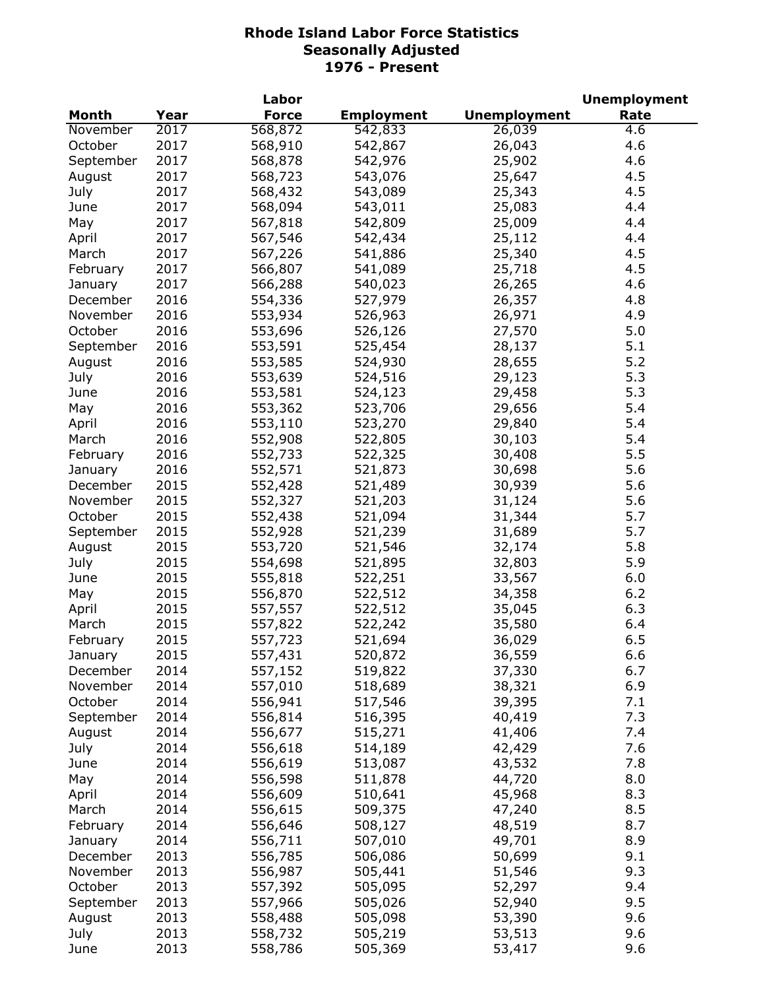|           |      | Labor        |                   |                     | <b>Unemployment</b> |
|-----------|------|--------------|-------------------|---------------------|---------------------|
| Month     | Year | <b>Force</b> | <b>Employment</b> | <b>Unemployment</b> | Rate                |
| November  | 2017 | 568,872      | 542,833           | 26,039              | 4.6                 |
| October   | 2017 | 568,910      | 542,867           | 26,043              | 4.6                 |
| September | 2017 | 568,878      | 542,976           | 25,902              | 4.6                 |
| August    | 2017 | 568,723      | 543,076           | 25,647              | 4.5                 |
| July      | 2017 | 568,432      | 543,089           | 25,343              | 4.5                 |
| June      | 2017 | 568,094      | 543,011           | 25,083              | 4.4                 |
| May       | 2017 | 567,818      | 542,809           | 25,009              | 4.4                 |
| April     | 2017 | 567,546      | 542,434           | 25,112              | 4.4                 |
| March     | 2017 | 567,226      | 541,886           | 25,340              | 4.5                 |
| February  | 2017 | 566,807      | 541,089           | 25,718              | 4.5                 |
|           | 2017 |              |                   | 26,265              | 4.6                 |
| January   |      | 566,288      | 540,023           |                     |                     |
| December  | 2016 | 554,336      | 527,979           | 26,357              | 4.8                 |
| November  | 2016 | 553,934      | 526,963           | 26,971              | 4.9                 |
| October   | 2016 | 553,696      | 526,126           | 27,570              | 5.0                 |
| September | 2016 | 553,591      | 525,454           | 28,137              | 5.1                 |
| August    | 2016 | 553,585      | 524,930           | 28,655              | 5.2                 |
| July      | 2016 | 553,639      | 524,516           | 29,123              | 5.3                 |
| June      | 2016 | 553,581      | 524,123           | 29,458              | 5.3                 |
| May       | 2016 | 553,362      | 523,706           | 29,656              | 5.4                 |
| April     | 2016 | 553,110      | 523,270           | 29,840              | 5.4                 |
| March     | 2016 | 552,908      | 522,805           | 30,103              | 5.4                 |
| February  | 2016 | 552,733      | 522,325           | 30,408              | 5.5                 |
| January   | 2016 | 552,571      | 521,873           | 30,698              | 5.6                 |
| December  | 2015 | 552,428      | 521,489           | 30,939              | 5.6                 |
| November  | 2015 | 552,327      | 521,203           | 31,124              | 5.6                 |
| October   | 2015 | 552,438      | 521,094           | 31,344              | 5.7                 |
| September | 2015 | 552,928      | 521,239           | 31,689              | 5.7                 |
| August    | 2015 | 553,720      | 521,546           | 32,174              | 5.8                 |
| July      | 2015 | 554,698      | 521,895           | 32,803              | 5.9                 |
| June      | 2015 | 555,818      | 522,251           | 33,567              | 6.0                 |
| May       | 2015 | 556,870      | 522,512           | 34,358              | 6.2                 |
| April     | 2015 | 557,557      | 522,512           | 35,045              | 6.3                 |
| March     | 2015 | 557,822      | 522,242           | 35,580              | 6.4                 |
| February  | 2015 | 557,723      | 521,694           | 36,029              | 6.5                 |
| January   | 2015 | 557,431      | 520,872           | 36,559              | 6.6                 |
| December  | 2014 | 557,152      | 519,822           | 37,330              | 6.7                 |
| November  | 2014 | 557,010      | 518,689           | 38,321              | 6.9                 |
| October   | 2014 | 556,941      | 517,546           | 39,395              | 7.1                 |
| September | 2014 | 556,814      | 516,395           | 40,419              | 7.3                 |
| August    | 2014 | 556,677      | 515,271           | 41,406              | 7.4                 |
| July      | 2014 | 556,618      | 514,189           | 42,429              | 7.6                 |
| June      | 2014 | 556,619      | 513,087           | 43,532              | 7.8                 |
| May       | 2014 | 556,598      | 511,878           | 44,720              | 8.0                 |
|           | 2014 | 556,609      | 510,641           | 45,968              | 8.3                 |
| April     | 2014 |              |                   | 47,240              | 8.5                 |
| March     |      | 556,615      | 509,375           |                     |                     |
| February  | 2014 | 556,646      | 508,127           | 48,519              | 8.7                 |
| January   | 2014 | 556,711      | 507,010           | 49,701              | 8.9                 |
| December  | 2013 | 556,785      | 506,086           | 50,699              | 9.1                 |
| November  | 2013 | 556,987      | 505,441           | 51,546              | 9.3                 |
| October   | 2013 | 557,392      | 505,095           | 52,297              | 9.4                 |
| September | 2013 | 557,966      | 505,026           | 52,940              | 9.5                 |
| August    | 2013 | 558,488      | 505,098           | 53,390              | 9.6                 |
| July      | 2013 | 558,732      | 505,219           | 53,513              | 9.6                 |
| June      | 2013 | 558,786      | 505,369           | 53,417              | 9.6                 |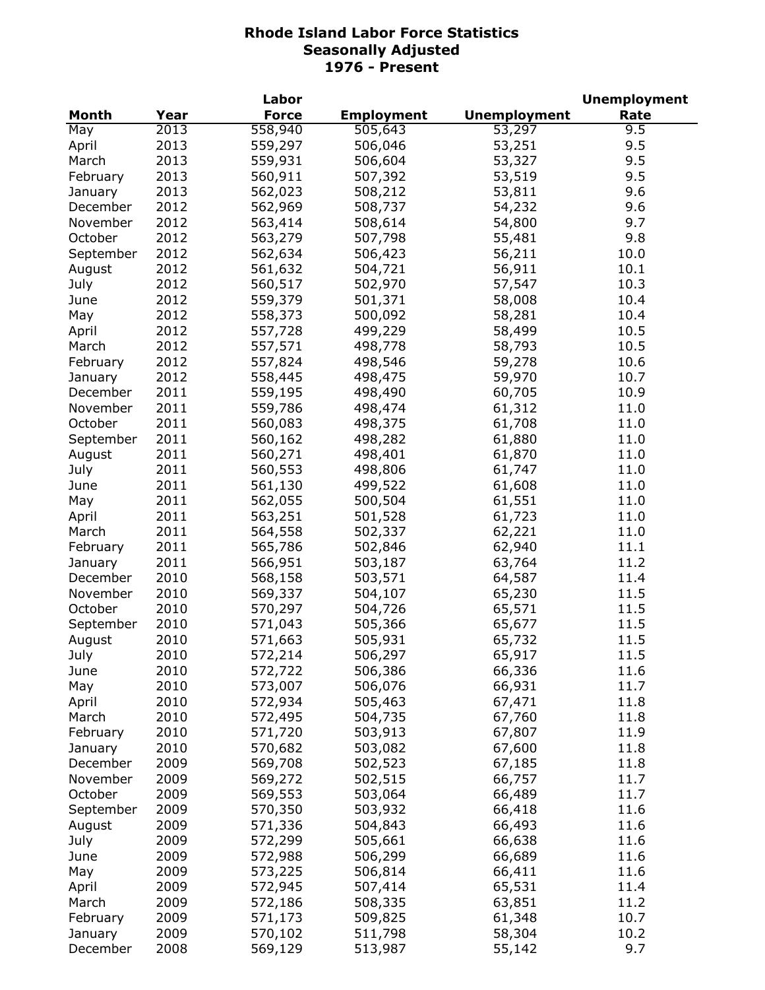|           |      | Labor        |                   |                     | <b>Unemployment</b> |
|-----------|------|--------------|-------------------|---------------------|---------------------|
| Month     | Year | <b>Force</b> | <b>Employment</b> | <b>Unemployment</b> | Rate                |
| May       | 2013 | 558,940      | 505,643           | 53,297              | 9.5                 |
| April     | 2013 | 559,297      | 506,046           | 53,251              | 9.5                 |
| March     | 2013 | 559,931      | 506,604           | 53,327              | 9.5                 |
| February  | 2013 | 560,911      | 507,392           | 53,519              | 9.5                 |
| January   | 2013 | 562,023      | 508,212           | 53,811              | 9.6                 |
| December  | 2012 | 562,969      | 508,737           | 54,232              | 9.6                 |
| November  | 2012 | 563,414      | 508,614           | 54,800              | 9.7                 |
| October   | 2012 | 563,279      | 507,798           | 55,481              | 9.8                 |
| September | 2012 | 562,634      | 506,423           | 56,211              | 10.0                |
| August    | 2012 | 561,632      | 504,721           | 56,911              | 10.1                |
| July      | 2012 | 560,517      | 502,970           | 57,547              | 10.3                |
|           |      |              |                   |                     |                     |
| June      | 2012 | 559,379      | 501,371           | 58,008              | 10.4                |
| May       | 2012 | 558,373      | 500,092           | 58,281              | 10.4                |
| April     | 2012 | 557,728      | 499,229           | 58,499              | 10.5                |
| March     | 2012 | 557,571      | 498,778           | 58,793              | 10.5                |
| February  | 2012 | 557,824      | 498,546           | 59,278              | 10.6                |
| January   | 2012 | 558,445      | 498,475           | 59,970              | 10.7                |
| December  | 2011 | 559,195      | 498,490           | 60,705              | 10.9                |
| November  | 2011 | 559,786      | 498,474           | 61,312              | 11.0                |
| October   | 2011 | 560,083      | 498,375           | 61,708              | 11.0                |
| September | 2011 | 560,162      | 498,282           | 61,880              | 11.0                |
| August    | 2011 | 560,271      | 498,401           | 61,870              | 11.0                |
| July      | 2011 | 560,553      | 498,806           | 61,747              | 11.0                |
| June      | 2011 | 561,130      | 499,522           | 61,608              | 11.0                |
| May       | 2011 | 562,055      | 500,504           | 61,551              | 11.0                |
| April     | 2011 | 563,251      | 501,528           | 61,723              | 11.0                |
| March     | 2011 | 564,558      | 502,337           | 62,221              | 11.0                |
| February  | 2011 | 565,786      | 502,846           | 62,940              | 11.1                |
| January   | 2011 | 566,951      | 503,187           | 63,764              | 11.2                |
| December  | 2010 | 568,158      | 503,571           | 64,587              | 11.4                |
| November  | 2010 | 569,337      | 504,107           | 65,230              | 11.5                |
| October   | 2010 | 570,297      | 504,726           | 65,571              | 11.5                |
| September | 2010 | 571,043      | 505,366           | 65,677              | 11.5                |
| August    | 2010 | 571,663      | 505,931           | 65,732              | 11.5                |
| July      | 2010 | 572,214      | 506,297           | 65,917              | 11.5                |
| June      | 2010 | 572,722      | 506,386           | 66,336              | 11.6                |
| May       | 2010 | 573,007      | 506,076           | 66,931              | 11.7                |
| April     | 2010 | 572,934      | 505,463           | 67,471              | 11.8                |
| March     | 2010 | 572,495      | 504,735           | 67,760              | 11.8                |
| February  | 2010 | 571,720      | 503,913           | 67,807              | 11.9                |
| January   | 2010 | 570,682      | 503,082           | 67,600              | 11.8                |
| December  | 2009 | 569,708      | 502,523           | 67,185              | 11.8                |
| November  | 2009 | 569,272      | 502,515           | 66,757              | 11.7                |
| October   | 2009 | 569,553      | 503,064           | 66,489              | 11.7                |
|           |      |              | 503,932           |                     |                     |
| September | 2009 | 570,350      |                   | 66,418              | 11.6                |
| August    | 2009 | 571,336      | 504,843           | 66,493              | 11.6                |
| July      | 2009 | 572,299      | 505,661           | 66,638              | 11.6                |
| June      | 2009 | 572,988      | 506,299           | 66,689              | 11.6                |
| May       | 2009 | 573,225      | 506,814           | 66,411              | 11.6                |
| April     | 2009 | 572,945      | 507,414           | 65,531              | 11.4                |
| March     | 2009 | 572,186      | 508,335           | 63,851              | 11.2                |
| February  | 2009 | 571,173      | 509,825           | 61,348              | 10.7                |
| January   | 2009 | 570,102      | 511,798           | 58,304              | 10.2                |
| December  | 2008 | 569,129      | 513,987           | 55,142              | 9.7                 |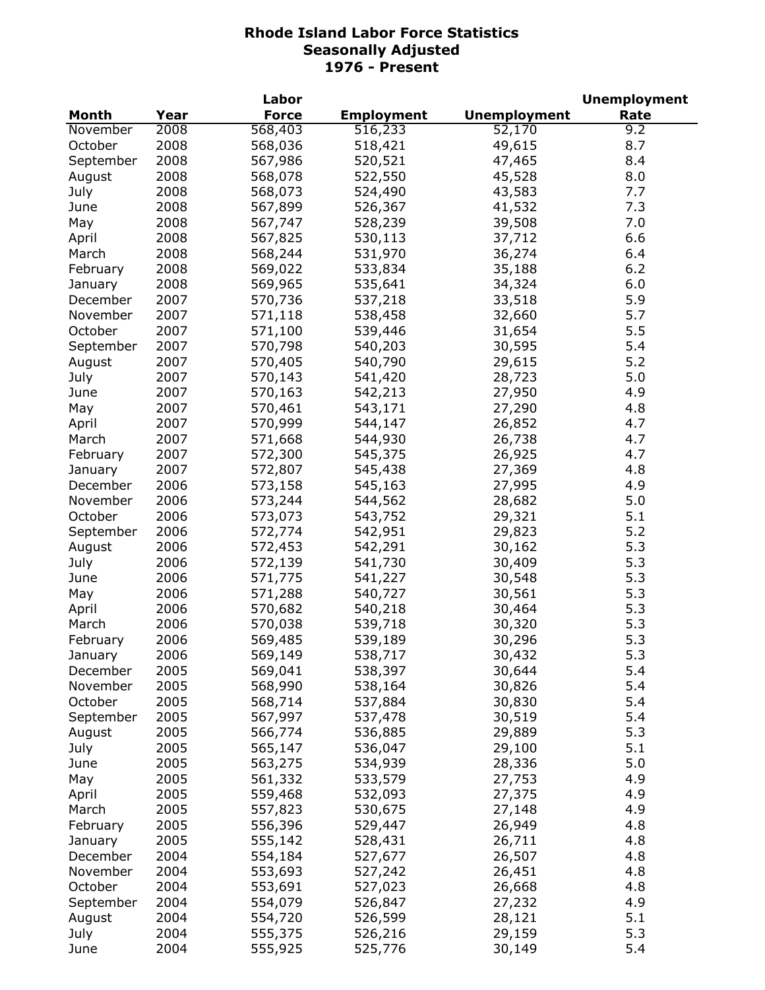|           |      | Labor        |                   |                     | <b>Unemployment</b> |
|-----------|------|--------------|-------------------|---------------------|---------------------|
| Month     | Year | <b>Force</b> | <b>Employment</b> | <b>Unemployment</b> | Rate                |
| November  | 2008 | 568,403      | 516,233           | 52,170              | 9.2                 |
| October   | 2008 | 568,036      | 518,421           | 49,615              | 8.7                 |
| September | 2008 | 567,986      | 520,521           | 47,465              | 8.4                 |
| August    | 2008 | 568,078      | 522,550           | 45,528              | 8.0                 |
| July      | 2008 | 568,073      | 524,490           | 43,583              | 7.7                 |
| June      | 2008 | 567,899      | 526,367           | 41,532              | 7.3                 |
| May       | 2008 | 567,747      | 528,239           | 39,508              | 7.0                 |
| April     | 2008 | 567,825      | 530,113           | 37,712              | 6.6                 |
| March     | 2008 | 568,244      | 531,970           | 36,274              | 6.4                 |
| February  | 2008 | 569,022      | 533,834           | 35,188              | 6.2                 |
|           | 2008 |              | 535,641           | 34,324              | 6.0                 |
| January   | 2007 | 569,965      |                   |                     | 5.9                 |
| December  |      | 570,736      | 537,218           | 33,518              |                     |
| November  | 2007 | 571,118      | 538,458           | 32,660              | 5.7                 |
| October   | 2007 | 571,100      | 539,446           | 31,654              | 5.5                 |
| September | 2007 | 570,798      | 540,203           | 30,595              | 5.4                 |
| August    | 2007 | 570,405      | 540,790           | 29,615              | 5.2                 |
| July      | 2007 | 570,143      | 541,420           | 28,723              | 5.0                 |
| June      | 2007 | 570,163      | 542,213           | 27,950              | 4.9                 |
| May       | 2007 | 570,461      | 543,171           | 27,290              | 4.8                 |
| April     | 2007 | 570,999      | 544,147           | 26,852              | 4.7                 |
| March     | 2007 | 571,668      | 544,930           | 26,738              | 4.7                 |
| February  | 2007 | 572,300      | 545,375           | 26,925              | 4.7                 |
| January   | 2007 | 572,807      | 545,438           | 27,369              | 4.8                 |
| December  | 2006 | 573,158      | 545,163           | 27,995              | 4.9                 |
| November  | 2006 | 573,244      | 544,562           | 28,682              | 5.0                 |
| October   | 2006 | 573,073      | 543,752           | 29,321              | 5.1                 |
| September | 2006 | 572,774      | 542,951           | 29,823              | 5.2                 |
| August    | 2006 | 572,453      | 542,291           | 30,162              | 5.3                 |
| July      | 2006 | 572,139      | 541,730           | 30,409              | 5.3                 |
| June      | 2006 | 571,775      | 541,227           | 30,548              | 5.3                 |
| May       | 2006 | 571,288      | 540,727           | 30,561              | 5.3                 |
| April     | 2006 | 570,682      | 540,218           | 30,464              | 5.3                 |
| March     | 2006 | 570,038      | 539,718           | 30,320              | 5.3                 |
| February  | 2006 | 569,485      | 539,189           | 30,296              | 5.3                 |
| January   | 2006 | 569,149      | 538,717           | 30,432              | 5.3                 |
| December  | 2005 | 569,041      | 538,397           | 30,644              | 5.4                 |
| November  | 2005 | 568,990      | 538,164           | 30,826              | 5.4                 |
| October   | 2005 | 568,714      | 537,884           | 30,830              | 5.4                 |
| September | 2005 | 567,997      | 537,478           | 30,519              | 5.4                 |
| August    | 2005 | 566,774      | 536,885           | 29,889              | 5.3                 |
| July      | 2005 | 565,147      | 536,047           | 29,100              | 5.1                 |
| June      | 2005 | 563,275      | 534,939           | 28,336              | 5.0                 |
|           | 2005 |              |                   |                     | 4.9                 |
| May       | 2005 | 561,332      | 533,579           | 27,753              |                     |
| April     |      | 559,468      | 532,093           | 27,375              | 4.9                 |
| March     | 2005 | 557,823      | 530,675           | 27,148              | 4.9                 |
| February  | 2005 | 556,396      | 529,447           | 26,949              | 4.8                 |
| January   | 2005 | 555,142      | 528,431           | 26,711              | 4.8                 |
| December  | 2004 | 554,184      | 527,677           | 26,507              | 4.8                 |
| November  | 2004 | 553,693      | 527,242           | 26,451              | 4.8                 |
| October   | 2004 | 553,691      | 527,023           | 26,668              | 4.8                 |
| September | 2004 | 554,079      | 526,847           | 27,232              | 4.9                 |
| August    | 2004 | 554,720      | 526,599           | 28,121              | 5.1                 |
| July      | 2004 | 555,375      | 526,216           | 29,159              | 5.3                 |
| June      | 2004 | 555,925      | 525,776           | 30,149              | 5.4                 |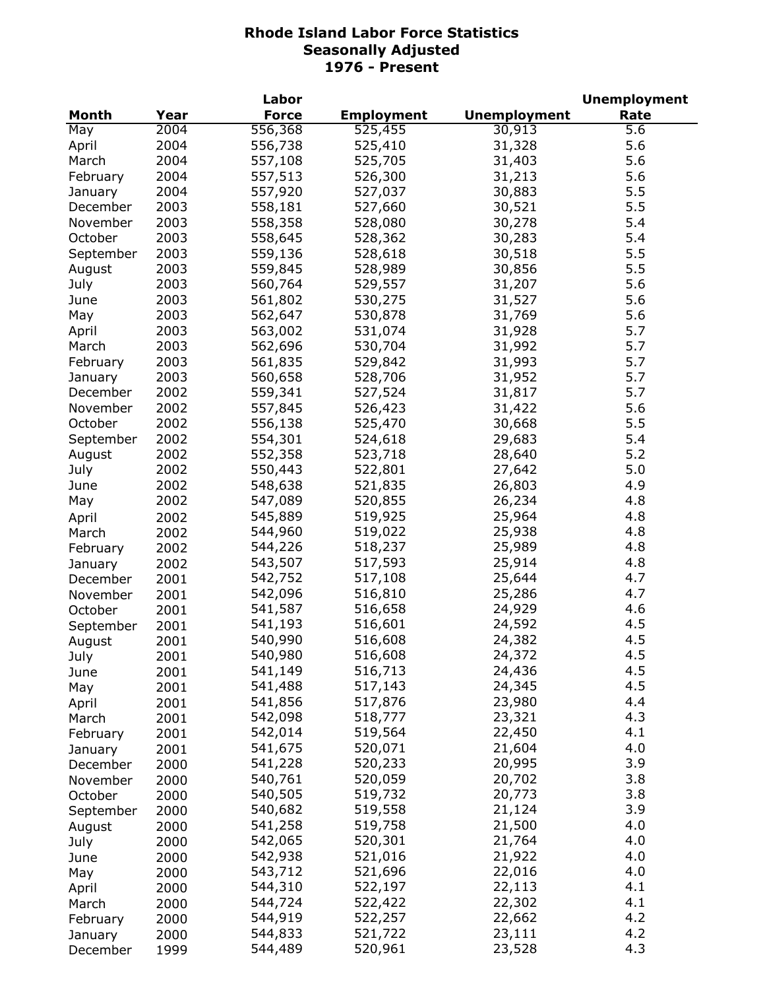|           |      | Labor        |                   |                     | <b>Unemployment</b> |
|-----------|------|--------------|-------------------|---------------------|---------------------|
| Month     | Year | <b>Force</b> | <b>Employment</b> | <b>Unemployment</b> | Rate                |
| May       | 2004 | 556,368      | 525,455           | 30,913              | 5.6                 |
| April     | 2004 | 556,738      | 525,410           | 31,328              | 5.6                 |
| March     | 2004 | 557,108      | 525,705           | 31,403              | 5.6                 |
| February  | 2004 | 557,513      | 526,300           | 31,213              | 5.6                 |
| January   | 2004 | 557,920      | 527,037           | 30,883              | 5.5                 |
| December  | 2003 | 558,181      | 527,660           | 30,521              | 5.5                 |
| November  | 2003 | 558,358      | 528,080           | 30,278              | 5.4                 |
| October   | 2003 | 558,645      | 528,362           | 30,283              | 5.4                 |
| September | 2003 | 559,136      | 528,618           | 30,518              | 5.5                 |
| August    | 2003 | 559,845      | 528,989           | 30,856              | 5.5                 |
| July      | 2003 | 560,764      | 529,557           | 31,207              | 5.6                 |
|           | 2003 |              | 530,275           |                     | 5.6                 |
| June      |      | 561,802      |                   | 31,527              |                     |
| May       | 2003 | 562,647      | 530,878           | 31,769              | 5.6                 |
| April     | 2003 | 563,002      | 531,074           | 31,928              | 5.7                 |
| March     | 2003 | 562,696      | 530,704           | 31,992              | 5.7                 |
| February  | 2003 | 561,835      | 529,842           | 31,993              | 5.7                 |
| January   | 2003 | 560,658      | 528,706           | 31,952              | 5.7                 |
| December  | 2002 | 559,341      | 527,524           | 31,817              | 5.7                 |
| November  | 2002 | 557,845      | 526,423           | 31,422              | 5.6                 |
| October   | 2002 | 556,138      | 525,470           | 30,668              | 5.5                 |
| September | 2002 | 554,301      | 524,618           | 29,683              | 5.4                 |
| August    | 2002 | 552,358      | 523,718           | 28,640              | 5.2                 |
| July      | 2002 | 550,443      | 522,801           | 27,642              | 5.0                 |
| June      | 2002 | 548,638      | 521,835           | 26,803              | 4.9                 |
| May       | 2002 | 547,089      | 520,855           | 26,234              | 4.8                 |
| April     | 2002 | 545,889      | 519,925           | 25,964              | 4.8                 |
| March     | 2002 | 544,960      | 519,022           | 25,938              | 4.8                 |
| February  | 2002 | 544,226      | 518,237           | 25,989              | 4.8                 |
| January   | 2002 | 543,507      | 517,593           | 25,914              | 4.8                 |
| December  | 2001 | 542,752      | 517,108           | 25,644              | 4.7                 |
| November  | 2001 | 542,096      | 516,810           | 25,286              | 4.7                 |
| October   | 2001 | 541,587      | 516,658           | 24,929              | 4.6                 |
| September | 2001 | 541,193      | 516,601           | 24,592              | 4.5                 |
| August    | 2001 | 540,990      | 516,608           | 24,382              | 4.5                 |
| July      | 2001 | 540,980      | 516,608           | 24,372              | 4.5                 |
| June      | 2001 | 541,149      | 516,713           | 24,436              | 4.5                 |
| May       | 2001 | 541,488      | 517,143           | 24,345              | 4.5                 |
| April     | 2001 | 541,856      | 517,876           | 23,980              | 4.4                 |
| March     | 2001 | 542,098      | 518,777           | 23,321              | 4.3                 |
| February  | 2001 | 542,014      | 519,564           | 22,450              | 4.1                 |
| January   | 2001 | 541,675      | 520,071           | 21,604              | 4.0                 |
|           | 2000 | 541,228      | 520,233           | 20,995              | 3.9                 |
| December  |      | 540,761      | 520,059           | 20,702              | 3.8                 |
| November  | 2000 | 540,505      | 519,732           | 20,773              | 3.8                 |
| October   | 2000 |              |                   | 21,124              |                     |
| September | 2000 | 540,682      | 519,558           |                     | 3.9                 |
| August    | 2000 | 541,258      | 519,758           | 21,500              | 4.0                 |
| July      | 2000 | 542,065      | 520,301           | 21,764              | 4.0                 |
| June      | 2000 | 542,938      | 521,016           | 21,922              | 4.0                 |
| May       | 2000 | 543,712      | 521,696           | 22,016              | 4.0                 |
| April     | 2000 | 544,310      | 522,197           | 22,113              | 4.1                 |
| March     | 2000 | 544,724      | 522,422           | 22,302              | 4.1                 |
| February  | 2000 | 544,919      | 522,257           | 22,662              | 4.2                 |
| January   | 2000 | 544,833      | 521,722           | 23,111              | 4.2                 |
| December  | 1999 | 544,489      | 520,961           | 23,528              | 4.3                 |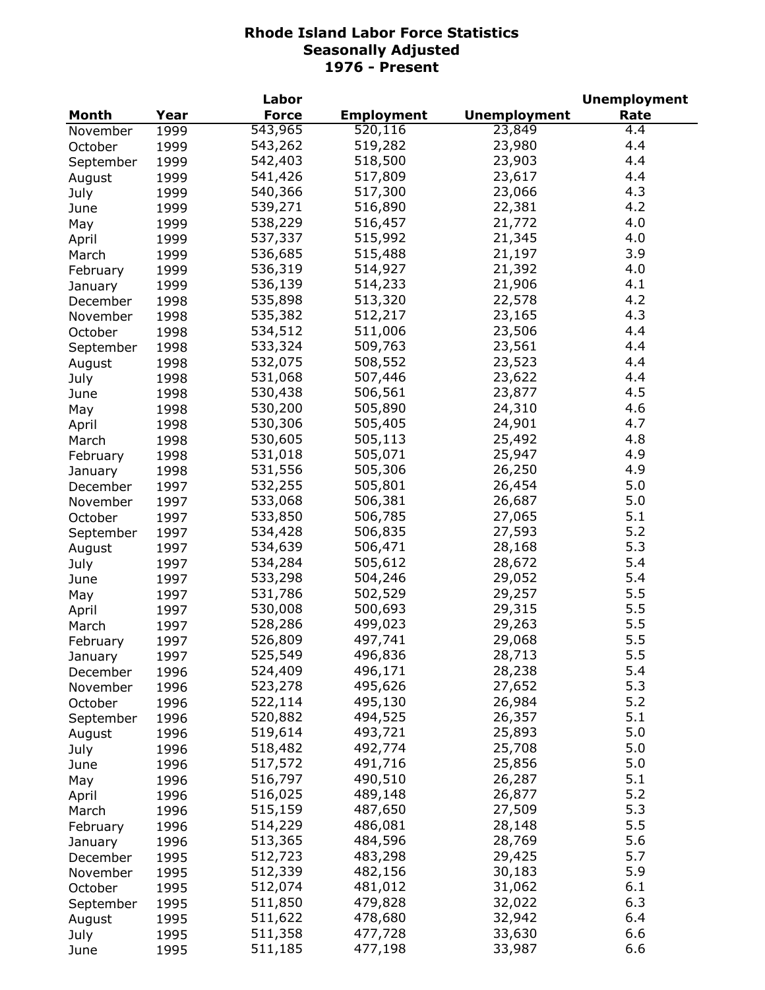|           |      | Labor        |                   |                     | <b>Unemployment</b> |
|-----------|------|--------------|-------------------|---------------------|---------------------|
| Month     | Year | <b>Force</b> | <b>Employment</b> | <b>Unemployment</b> | Rate                |
| November  | 1999 | 543,965      | 520,116           | 23,849              | 4.4                 |
| October   | 1999 | 543,262      | 519,282           | 23,980              | 4.4                 |
| September | 1999 | 542,403      | 518,500           | 23,903              | 4.4                 |
| August    | 1999 | 541,426      | 517,809           | 23,617              | 4.4                 |
| July      | 1999 | 540,366      | 517,300           | 23,066              | 4.3                 |
| June      | 1999 | 539,271      | 516,890           | 22,381              | 4.2                 |
| May       | 1999 | 538,229      | 516,457           | 21,772              | 4.0                 |
| April     | 1999 | 537,337      | 515,992           | 21,345              | 4.0                 |
| March     | 1999 | 536,685      | 515,488           | 21,197              | 3.9                 |
|           | 1999 | 536,319      | 514,927           | 21,392              | 4.0                 |
| February  |      |              | 514,233           | 21,906              | 4.1                 |
| January   | 1999 | 536,139      |                   |                     | 4.2                 |
| December  | 1998 | 535,898      | 513,320           | 22,578              |                     |
| November  | 1998 | 535,382      | 512,217           | 23,165              | 4.3                 |
| October   | 1998 | 534,512      | 511,006           | 23,506              | 4.4                 |
| September | 1998 | 533,324      | 509,763           | 23,561              | 4.4                 |
| August    | 1998 | 532,075      | 508,552           | 23,523              | 4.4                 |
| July      | 1998 | 531,068      | 507,446           | 23,622              | 4.4                 |
| June      | 1998 | 530,438      | 506,561           | 23,877              | 4.5                 |
| May       | 1998 | 530,200      | 505,890           | 24,310              | 4.6                 |
| April     | 1998 | 530,306      | 505,405           | 24,901              | 4.7                 |
| March     | 1998 | 530,605      | 505,113           | 25,492              | 4.8                 |
| February  | 1998 | 531,018      | 505,071           | 25,947              | 4.9                 |
| January   | 1998 | 531,556      | 505,306           | 26,250              | 4.9                 |
| December  | 1997 | 532,255      | 505,801           | 26,454              | 5.0                 |
| November  | 1997 | 533,068      | 506,381           | 26,687              | 5.0                 |
| October   | 1997 | 533,850      | 506,785           | 27,065              | 5.1                 |
| September | 1997 | 534,428      | 506,835           | 27,593              | 5.2                 |
| August    | 1997 | 534,639      | 506,471           | 28,168              | 5.3                 |
| July      | 1997 | 534,284      | 505,612           | 28,672              | 5.4                 |
| June      | 1997 | 533,298      | 504,246           | 29,052              | 5.4                 |
| May       | 1997 | 531,786      | 502,529           | 29,257              | 5.5                 |
| April     | 1997 | 530,008      | 500,693           | 29,315              | 5.5                 |
| March     | 1997 | 528,286      | 499,023           | 29,263              | 5.5                 |
| February  | 1997 | 526,809      | 497,741           | 29,068              | 5.5                 |
| January   | 1997 | 525,549      | 496,836           | 28,713              | 5.5                 |
| December  | 1996 | 524,409      | 496,171           | 28,238              | 5.4                 |
| November  | 1996 | 523,278      | 495,626           | 27,652              | 5.3                 |
| October   | 1996 | 522,114      | 495,130           | 26,984              | 5.2                 |
| September | 1996 | 520,882      | 494,525           | 26,357              | 5.1                 |
|           | 1996 | 519,614      | 493,721           | 25,893              | 5.0                 |
| August    |      | 518,482      | 492,774           | 25,708              | 5.0                 |
| July      | 1996 | 517,572      | 491,716           | 25,856              | 5.0                 |
| June      | 1996 | 516,797      |                   |                     | 5.1                 |
| May       | 1996 |              | 490,510           | 26,287              |                     |
| April     | 1996 | 516,025      | 489,148           | 26,877              | 5.2                 |
| March     | 1996 | 515,159      | 487,650           | 27,509              | 5.3                 |
| February  | 1996 | 514,229      | 486,081           | 28,148              | 5.5                 |
| January   | 1996 | 513,365      | 484,596           | 28,769              | 5.6                 |
| December  | 1995 | 512,723      | 483,298           | 29,425              | 5.7                 |
| November  | 1995 | 512,339      | 482,156           | 30,183              | 5.9                 |
| October   | 1995 | 512,074      | 481,012           | 31,062              | 6.1                 |
| September | 1995 | 511,850      | 479,828           | 32,022              | 6.3                 |
| August    | 1995 | 511,622      | 478,680           | 32,942              | 6.4                 |
| July      | 1995 | 511,358      | 477,728           | 33,630              | 6.6                 |
| June      | 1995 | 511,185      | 477,198           | 33,987              | 6.6                 |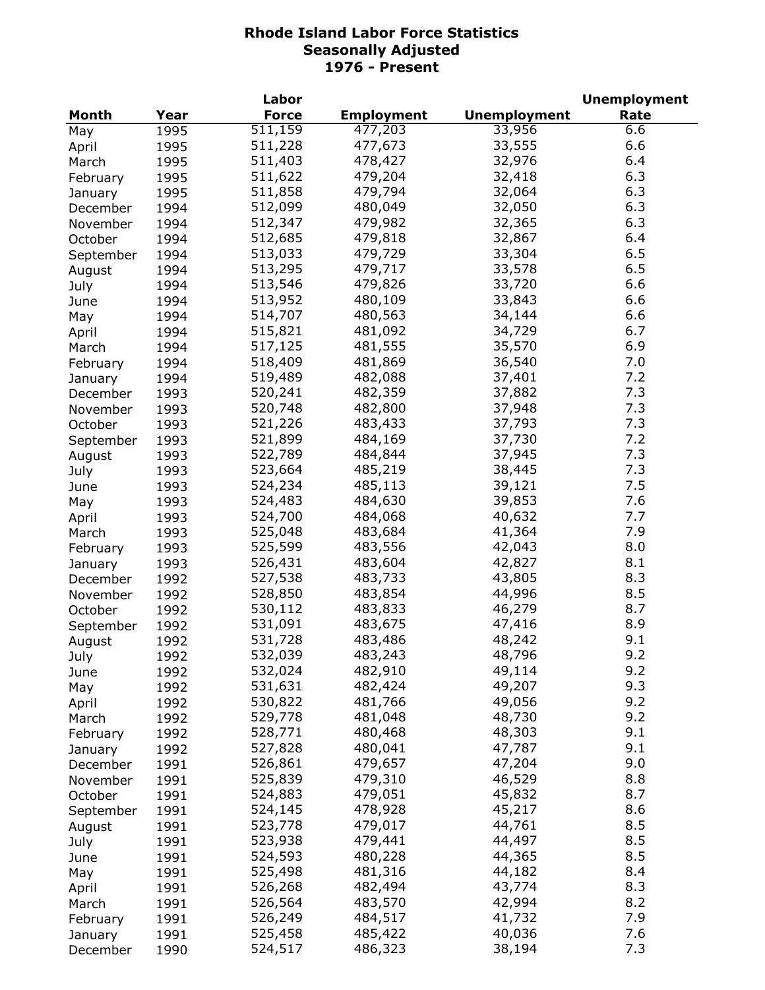|           |      | Labor        |                   |                     | <b>Unemployment</b> |
|-----------|------|--------------|-------------------|---------------------|---------------------|
| Month     | Year | <b>Force</b> | <b>Employment</b> | <b>Unemployment</b> | Rate                |
| May       | 1995 | 511,159      | 477,203           | 33,956              | 6.6                 |
| April     | 1995 | 511,228      | 477,673           | 33,555              | 6.6                 |
| March     | 1995 | 511,403      | 478,427           | 32,976              | 6.4                 |
| February  | 1995 | 511,622      | 479,204           | 32,418              | 6.3                 |
| January   | 1995 | 511,858      | 479,794           | 32,064              | 6.3                 |
| December  | 1994 | 512,099      | 480,049           | 32,050              | 6.3                 |
| November  | 1994 | 512,347      | 479,982           | 32,365              | 6.3                 |
| October   | 1994 | 512,685      | 479,818           | 32,867              | 6.4                 |
| September | 1994 | 513,033      | 479,729           | 33,304              | 6.5                 |
| August    | 1994 | 513,295      | 479,717           | 33,578              | 6.5                 |
| July      | 1994 | 513,546      | 479,826           | 33,720              | 6.6                 |
| June      | 1994 | 513,952      | 480,109           | 33,843              | 6.6                 |
| May       | 1994 | 514,707      | 480,563           | 34,144              | 6.6                 |
| April     | 1994 | 515,821      | 481,092           | 34,729              | 6.7                 |
| March     | 1994 | 517,125      | 481,555           | 35,570              | 6.9                 |
| February  | 1994 | 518,409      | 481,869           | 36,540              | 7.0                 |
|           | 1994 | 519,489      | 482,088           | 37,401              | 7.2                 |
| January   |      | 520,241      | 482,359           | 37,882              | 7.3                 |
| December  | 1993 | 520,748      | 482,800           | 37,948              | 7.3                 |
| November  | 1993 |              |                   |                     | 7.3                 |
| October   | 1993 | 521,226      | 483,433           | 37,793              |                     |
| September | 1993 | 521,899      | 484,169           | 37,730              | 7.2                 |
| August    | 1993 | 522,789      | 484,844           | 37,945              | 7.3                 |
| July      | 1993 | 523,664      | 485,219           | 38,445              | 7.3                 |
| June      | 1993 | 524,234      | 485,113           | 39,121              | 7.5                 |
| May       | 1993 | 524,483      | 484,630           | 39,853              | 7.6                 |
| April     | 1993 | 524,700      | 484,068           | 40,632              | 7.7                 |
| March     | 1993 | 525,048      | 483,684           | 41,364              | 7.9                 |
| February  | 1993 | 525,599      | 483,556           | 42,043              | 8.0                 |
| January   | 1993 | 526,431      | 483,604           | 42,827              | 8.1                 |
| December  | 1992 | 527,538      | 483,733           | 43,805              | 8.3                 |
| November  | 1992 | 528,850      | 483,854           | 44,996              | 8.5                 |
| October   | 1992 | 530,112      | 483,833           | 46,279              | 8.7                 |
| September | 1992 | 531,091      | 483,675           | 47,416              | 8.9                 |
| August    | 1992 | 531,728      | 483,486           | 48,242              | 9.1                 |
| July      | 1992 | 532,039      | 483,243           | 48,796              | 9.2                 |
| June      | 1992 | 532,024      | 482,910           | 49,114              | 9.2                 |
| May       | 1992 | 531,631      | 482,424           | 49,207              | 9.3                 |
| April     | 1992 | 530,822      | 481,766           | 49,056              | 9.2                 |
| March     | 1992 | 529,778      | 481,048           | 48,730              | 9.2                 |
| February  | 1992 | 528,771      | 480,468           | 48,303              | 9.1                 |
| January   | 1992 | 527,828      | 480,041           | 47,787              | 9.1                 |
| December  | 1991 | 526,861      | 479,657           | 47,204              | 9.0                 |
| November  | 1991 | 525,839      | 479,310           | 46,529              | 8.8                 |
| October   | 1991 | 524,883      | 479,051           | 45,832              | 8.7                 |
| September | 1991 | 524,145      | 478,928           | 45,217              | 8.6                 |
| August    | 1991 | 523,778      | 479,017           | 44,761              | 8.5                 |
| July      | 1991 | 523,938      | 479,441           | 44,497              | 8.5                 |
| June      | 1991 | 524,593      | 480,228           | 44,365              | 8.5                 |
| May       | 1991 | 525,498      | 481,316           | 44,182              | 8.4                 |
| April     | 1991 | 526,268      | 482,494           | 43,774              | 8.3                 |
| March     | 1991 | 526,564      | 483,570           | 42,994              | 8.2                 |
| February  | 1991 | 526,249      | 484,517           | 41,732              | 7.9                 |
| January   | 1991 | 525,458      | 485,422           | 40,036              | 7.6                 |
| December  | 1990 | 524,517      | 486,323           | 38,194              | 7.3                 |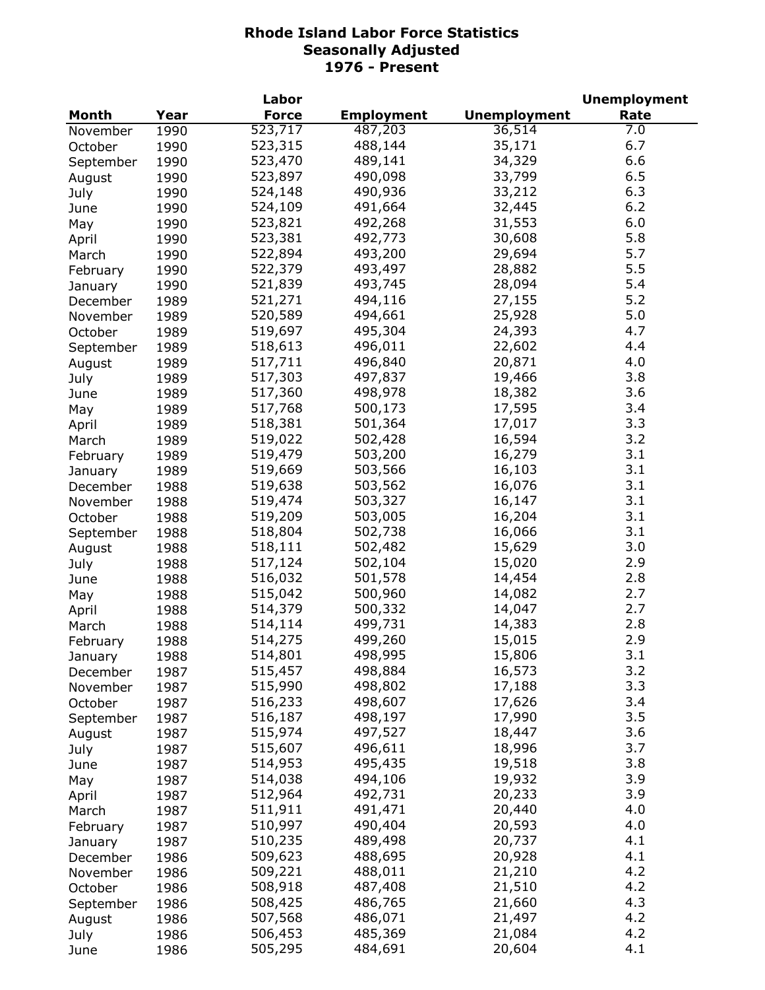|           |      | Labor        |                   |                     | <b>Unemployment</b> |
|-----------|------|--------------|-------------------|---------------------|---------------------|
| Month     | Year | <b>Force</b> | <b>Employment</b> | <b>Unemployment</b> | Rate                |
| November  | 1990 | 523,717      | 487,203           | 36,514              | 7.0                 |
| October   | 1990 | 523,315      | 488,144           | 35,171              | 6.7                 |
| September | 1990 | 523,470      | 489,141           | 34,329              | 6.6                 |
| August    | 1990 | 523,897      | 490,098           | 33,799              | 6.5                 |
| July      | 1990 | 524,148      | 490,936           | 33,212              | 6.3                 |
| June      | 1990 | 524,109      | 491,664           | 32,445              | 6.2                 |
| May       | 1990 | 523,821      | 492,268           | 31,553              | 6.0                 |
| April     | 1990 | 523,381      | 492,773           | 30,608              | 5.8                 |
| March     | 1990 | 522,894      | 493,200           | 29,694              | 5.7                 |
|           |      | 522,379      | 493,497           | 28,882              | 5.5                 |
| February  | 1990 | 521,839      | 493,745           | 28,094              | 5.4                 |
| January   | 1990 |              |                   |                     |                     |
| December  | 1989 | 521,271      | 494,116           | 27,155              | 5.2                 |
| November  | 1989 | 520,589      | 494,661           | 25,928              | 5.0                 |
| October   | 1989 | 519,697      | 495,304           | 24,393              | 4.7                 |
| September | 1989 | 518,613      | 496,011           | 22,602              | 4.4                 |
| August    | 1989 | 517,711      | 496,840           | 20,871              | 4.0                 |
| July      | 1989 | 517,303      | 497,837           | 19,466              | 3.8                 |
| June      | 1989 | 517,360      | 498,978           | 18,382              | 3.6                 |
| May       | 1989 | 517,768      | 500,173           | 17,595              | 3.4                 |
| April     | 1989 | 518,381      | 501,364           | 17,017              | 3.3                 |
| March     | 1989 | 519,022      | 502,428           | 16,594              | 3.2                 |
| February  | 1989 | 519,479      | 503,200           | 16,279              | 3.1                 |
| January   | 1989 | 519,669      | 503,566           | 16,103              | 3.1                 |
| December  | 1988 | 519,638      | 503,562           | 16,076              | 3.1                 |
| November  | 1988 | 519,474      | 503,327           | 16,147              | 3.1                 |
| October   | 1988 | 519,209      | 503,005           | 16,204              | 3.1                 |
| September | 1988 | 518,804      | 502,738           | 16,066              | 3.1                 |
| August    | 1988 | 518,111      | 502,482           | 15,629              | 3.0                 |
| July      | 1988 | 517,124      | 502,104           | 15,020              | 2.9                 |
| June      | 1988 | 516,032      | 501,578           | 14,454              | 2.8                 |
| May       | 1988 | 515,042      | 500,960           | 14,082              | 2.7                 |
| April     | 1988 | 514,379      | 500,332           | 14,047              | 2.7                 |
| March     | 1988 | 514,114      | 499,731           | 14,383              | 2.8                 |
| February  | 1988 | 514,275      | 499,260           | 15,015              | 2.9                 |
|           |      | 514,801      | 498,995           | 15,806              | 3.1                 |
| January   | 1988 | 515,457      | 498,884           | 16,573              | 3.2                 |
| December  | 1987 | 515,990      | 498,802           | 17,188              | 3.3                 |
| November  | 1987 | 516,233      | 498,607           |                     | 3.4                 |
| October   | 1987 |              |                   | 17,626              | 3.5                 |
| September | 1987 | 516,187      | 498,197           | 17,990              |                     |
| August    | 1987 | 515,974      | 497,527           | 18,447              | 3.6                 |
| July      | 1987 | 515,607      | 496,611           | 18,996              | 3.7                 |
| June      | 1987 | 514,953      | 495,435           | 19,518              | 3.8                 |
| May       | 1987 | 514,038      | 494,106           | 19,932              | 3.9                 |
| April     | 1987 | 512,964      | 492,731           | 20,233              | 3.9                 |
| March     | 1987 | 511,911      | 491,471           | 20,440              | 4.0                 |
| February  | 1987 | 510,997      | 490,404           | 20,593              | 4.0                 |
| January   | 1987 | 510,235      | 489,498           | 20,737              | 4.1                 |
| December  | 1986 | 509,623      | 488,695           | 20,928              | 4.1                 |
| November  | 1986 | 509,221      | 488,011           | 21,210              | 4.2                 |
| October   | 1986 | 508,918      | 487,408           | 21,510              | 4.2                 |
| September | 1986 | 508,425      | 486,765           | 21,660              | 4.3                 |
| August    | 1986 | 507,568      | 486,071           | 21,497              | 4.2                 |
| July      | 1986 | 506,453      | 485,369           | 21,084              | 4.2                 |
| June      | 1986 | 505,295      | 484,691           | 20,604              | 4.1                 |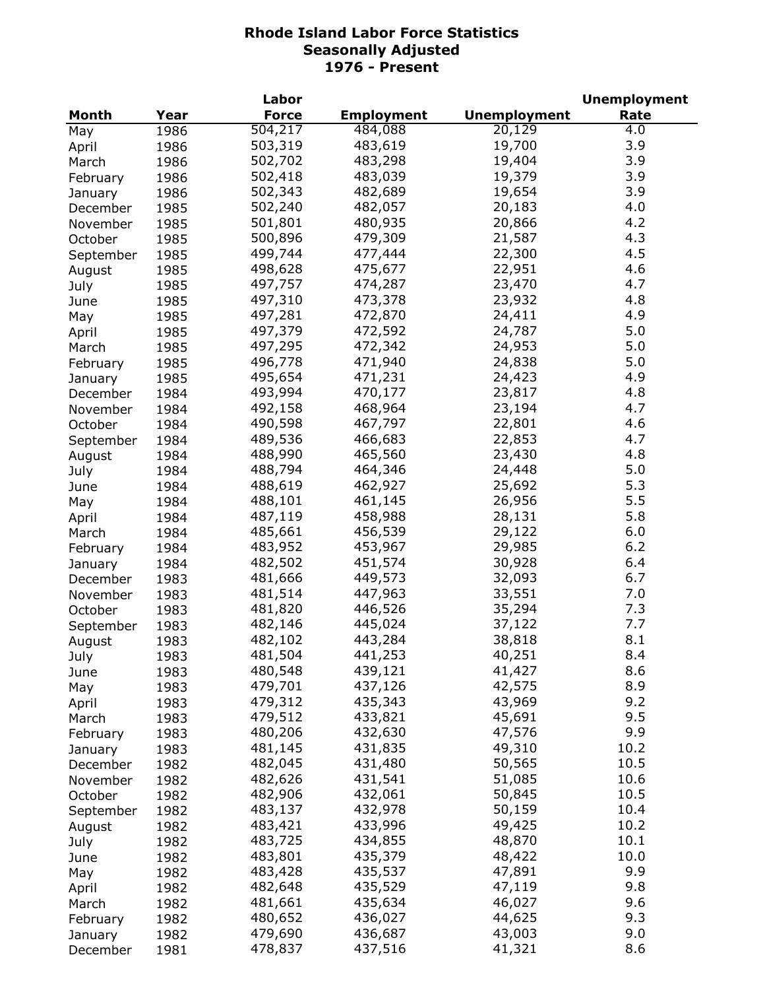|           |      | Labor        |                   |                     | <b>Unemployment</b> |
|-----------|------|--------------|-------------------|---------------------|---------------------|
| Month     | Year | <b>Force</b> | <b>Employment</b> | <b>Unemployment</b> | Rate                |
| May       | 1986 | 504,217      | 484,088           | 20,129              | 4.0                 |
| April     | 1986 | 503,319      | 483,619           | 19,700              | 3.9                 |
| March     | 1986 | 502,702      | 483,298           | 19,404              | 3.9                 |
| February  | 1986 | 502,418      | 483,039           | 19,379              | 3.9                 |
| January   | 1986 | 502,343      | 482,689           | 19,654              | 3.9                 |
| December  | 1985 | 502,240      | 482,057           | 20,183              | 4.0                 |
| November  | 1985 | 501,801      | 480,935           | 20,866              | 4.2                 |
| October   | 1985 | 500,896      | 479,309           | 21,587              | 4.3                 |
| September | 1985 | 499,744      | 477,444           | 22,300              | 4.5                 |
| August    | 1985 | 498,628      | 475,677           | 22,951              | 4.6                 |
| July      | 1985 | 497,757      | 474,287           | 23,470              | 4.7                 |
| June      | 1985 | 497,310      | 473,378           | 23,932              | 4.8                 |
|           | 1985 | 497,281      | 472,870           | 24,411              | 4.9                 |
| May       | 1985 | 497,379      | 472,592           | 24,787              | 5.0                 |
| April     |      | 497,295      | 472,342           | 24,953              | 5.0                 |
| March     | 1985 | 496,778      | 471,940           | 24,838              | 5.0                 |
| February  | 1985 | 495,654      |                   |                     | 4.9                 |
| January   | 1985 |              | 471,231           | 24,423              |                     |
| December  | 1984 | 493,994      | 470,177           | 23,817              | 4.8                 |
| November  | 1984 | 492,158      | 468,964           | 23,194              | 4.7                 |
| October   | 1984 | 490,598      | 467,797           | 22,801              | 4.6                 |
| September | 1984 | 489,536      | 466,683           | 22,853              | 4.7                 |
| August    | 1984 | 488,990      | 465,560           | 23,430              | 4.8                 |
| July      | 1984 | 488,794      | 464,346           | 24,448              | 5.0                 |
| June      | 1984 | 488,619      | 462,927           | 25,692              | 5.3                 |
| May       | 1984 | 488,101      | 461,145           | 26,956              | 5.5                 |
| April     | 1984 | 487,119      | 458,988           | 28,131              | 5.8                 |
| March     | 1984 | 485,661      | 456,539           | 29,122              | 6.0                 |
| February  | 1984 | 483,952      | 453,967           | 29,985              | 6.2                 |
| January   | 1984 | 482,502      | 451,574           | 30,928              | 6.4                 |
| December  | 1983 | 481,666      | 449,573           | 32,093              | 6.7                 |
| November  | 1983 | 481,514      | 447,963           | 33,551              | 7.0                 |
| October   | 1983 | 481,820      | 446,526           | 35,294              | 7.3                 |
| September | 1983 | 482,146      | 445,024           | 37,122              | 7.7                 |
| August    | 1983 | 482,102      | 443,284           | 38,818              | 8.1                 |
| July      | 1983 | 481,504      | 441,253           | 40,251              | 8.4                 |
| June      | 1983 | 480,548      | 439,121           | 41,427              | 8.6                 |
| May       | 1983 | 479,701      | 437,126           | 42,575              | 8.9                 |
| April     | 1983 | 479,312      | 435,343           | 43,969              | 9.2                 |
| March     | 1983 | 479,512      | 433,821           | 45,691              | 9.5                 |
| February  | 1983 | 480,206      | 432,630           | 47,576              | 9.9                 |
| January   | 1983 | 481,145      | 431,835           | 49,310              | 10.2                |
| December  | 1982 | 482,045      | 431,480           | 50,565              | 10.5                |
| November  | 1982 | 482,626      | 431,541           | 51,085              | 10.6                |
| October   | 1982 | 482,906      | 432,061           | 50,845              | 10.5                |
| September | 1982 | 483,137      | 432,978           | 50,159              | 10.4                |
| August    | 1982 | 483,421      | 433,996           | 49,425              | 10.2                |
| July      | 1982 | 483,725      | 434,855           | 48,870              | 10.1                |
| June      | 1982 | 483,801      | 435,379           | 48,422              | 10.0                |
| May       | 1982 | 483,428      | 435,537           | 47,891              | 9.9                 |
| April     | 1982 | 482,648      | 435,529           | 47,119              | 9.8                 |
| March     | 1982 | 481,661      | 435,634           | 46,027              | 9.6                 |
|           | 1982 | 480,652      | 436,027           | 44,625              | 9.3                 |
| February  | 1982 | 479,690      | 436,687           | 43,003              | 9.0                 |
| January   | 1981 | 478,837      | 437,516           | 41,321              | 8.6                 |
| December  |      |              |                   |                     |                     |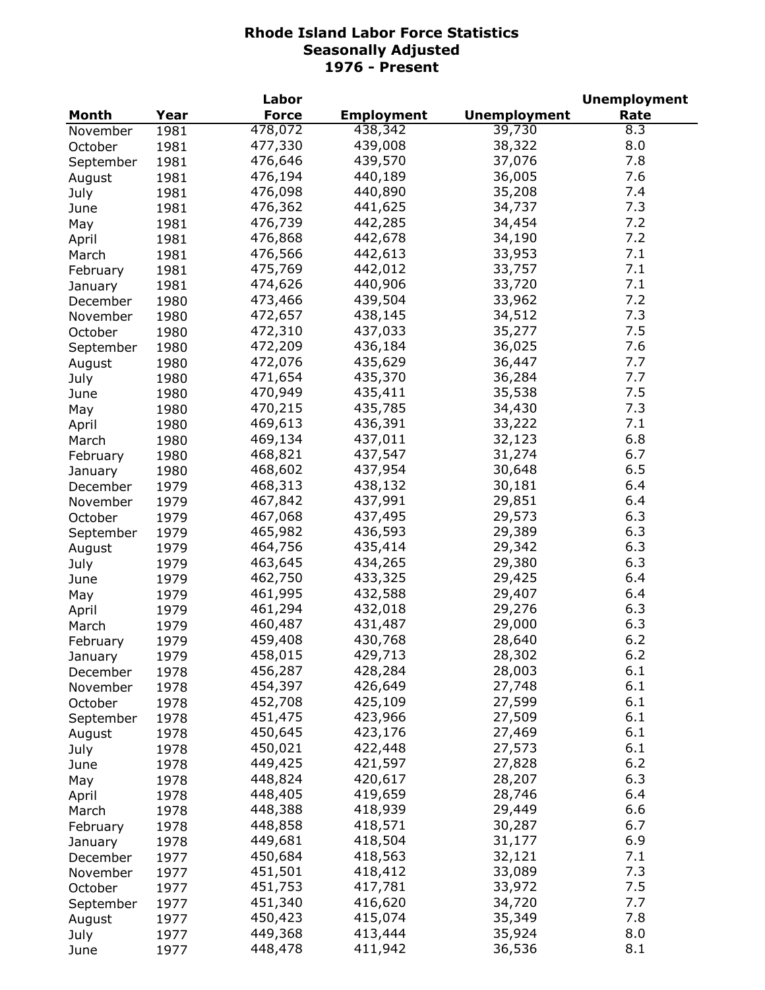| Month<br><b>Force</b><br><b>Employment</b><br><b>Unemployment</b><br>Rate<br>Year<br>478,072<br>39,730<br>438,342<br>8.3<br>1981<br>November<br>477,330<br>439,008<br>38,322<br>8.0<br>October<br>1981<br>7.8<br>476,646<br>439,570<br>37,076<br>1981<br>September<br>476,194<br>36,005<br>7.6<br>440,189<br>1981<br>August<br>476,098<br>440,890<br>35,208<br>7.4<br>1981<br>July<br>476,362<br>7.3<br>441,625<br>34,737<br>1981<br>June<br>476,739<br>442,285<br>7.2<br>34,454<br>1981<br>May<br>7.2<br>476,868<br>442,678<br>34,190<br>1981<br>April<br>7.1<br>476,566<br>442,613<br>33,953<br>1981<br>March<br>7.1<br>475,769<br>442,012<br>33,757<br>1981<br>February<br>440,906<br>7.1<br>474,626<br>33,720<br>1981<br>January<br>439,504<br>7.2<br>473,466<br>33,962<br>1980<br>December<br>472,657<br>438,145<br>34,512<br>7.3<br>1980<br>November<br>472,310<br>437,033<br>35,277<br>7.5<br>1980<br>October<br>472,209<br>436,184<br>7.6<br>36,025<br>1980<br>September<br>7.7<br>472,076<br>435,629<br>36,447<br>1980<br>August<br>7.7<br>471,654<br>435,370<br>36,284<br>1980<br>July<br>7.5<br>470,949<br>435,411<br>35,538<br>1980<br>June<br>7.3<br>470,215<br>435,785<br>34,430<br>1980<br>May<br>469,613<br>436,391<br>33,222<br>7.1<br>1980<br>April<br>6.8<br>469,134<br>437,011<br>32,123<br>1980<br>March<br>468,821<br>437,547<br>31,274<br>6.7<br>1980<br>February<br>6.5<br>468,602<br>437,954<br>30,648<br>1980<br>January<br>468,313<br>438,132<br>30,181<br>6.4<br>1979<br>December<br>467,842<br>437,991<br>29,851<br>6.4<br>1979<br>November<br>437,495<br>6.3<br>467,068<br>29,573<br>October<br>1979<br>465,982<br>436,593<br>29,389<br>6.3<br>1979<br>September<br>435,414<br>6.3<br>464,756<br>29,342<br>1979<br>August<br>434,265<br>6.3<br>463,645<br>29,380<br>July<br>1979<br>433,325<br>6.4<br>462,750<br>29,425<br>1979<br>June<br>432,588<br>6.4<br>461,995<br>29,407<br>1979<br>May<br>461,294<br>432,018<br>29,276<br>6.3<br>1979<br>April<br>6.3<br>460,487<br>431,487<br>29,000<br>1979<br>March<br>6.2<br>459,408<br>430,768<br>28,640<br>1979<br>February<br>6.2<br>28,302<br>January<br>1979<br>458,015<br>429,713<br>6.1<br>456,287<br>428,284<br>28,003<br>1978<br>December<br>6.1<br>454,397<br>426,649<br>27,748<br>1978<br>November<br>452,708<br>425,109<br>27,599<br>6.1<br>1978<br>October<br>451,475<br>423,966<br>27,509<br>6.1<br>1978<br>September<br>6.1<br>450,645<br>423,176<br>27,469<br>1978<br>August<br>6.1<br>450,021<br>422,448<br>27,573<br>July<br>1978<br>6.2<br>449,425<br>421,597<br>27,828<br>1978<br>June<br>6.3<br>448,824<br>420,617<br>28,207<br>1978<br>May<br>448,405<br>419,659<br>28,746<br>6.4<br>1978<br>April<br>448,388<br>418,939<br>29,449<br>6.6<br>1978<br>March<br>418,571<br>448,858<br>30,287<br>6.7<br>1978<br>February<br>418,504<br>6.9<br>449,681<br>31,177<br>1978<br>January<br>418,563<br>7.1<br>450,684<br>32,121<br>1977<br>December<br>7.3<br>451,501<br>418,412<br>33,089<br>1977<br>November<br>7.5<br>451,753<br>417,781<br>33,972<br>1977<br>October<br>7.7<br>451,340<br>416,620<br>34,720<br>1977<br>September<br>7.8<br>450,423<br>415,074<br>35,349<br>1977<br>August<br>449,368<br>413,444<br>35,924<br>8.0<br>1977<br>July<br>448,478<br>411,942<br>8.1<br>36,536<br>1977<br>June |  | Labor |  | <b>Unemployment</b> |
|---------------------------------------------------------------------------------------------------------------------------------------------------------------------------------------------------------------------------------------------------------------------------------------------------------------------------------------------------------------------------------------------------------------------------------------------------------------------------------------------------------------------------------------------------------------------------------------------------------------------------------------------------------------------------------------------------------------------------------------------------------------------------------------------------------------------------------------------------------------------------------------------------------------------------------------------------------------------------------------------------------------------------------------------------------------------------------------------------------------------------------------------------------------------------------------------------------------------------------------------------------------------------------------------------------------------------------------------------------------------------------------------------------------------------------------------------------------------------------------------------------------------------------------------------------------------------------------------------------------------------------------------------------------------------------------------------------------------------------------------------------------------------------------------------------------------------------------------------------------------------------------------------------------------------------------------------------------------------------------------------------------------------------------------------------------------------------------------------------------------------------------------------------------------------------------------------------------------------------------------------------------------------------------------------------------------------------------------------------------------------------------------------------------------------------------------------------------------------------------------------------------------------------------------------------------------------------------------------------------------------------------------------------------------------------------------------------------------------------------------------------------------------------------------------------------------------------------------------------------------------------------------------------------------------------------------------------------------------------------------------------------------------------------------------------------------------------------------------------------------------------------------------------------------------------------------------------------------------------------------------------------------------------------------------|--|-------|--|---------------------|
|                                                                                                                                                                                                                                                                                                                                                                                                                                                                                                                                                                                                                                                                                                                                                                                                                                                                                                                                                                                                                                                                                                                                                                                                                                                                                                                                                                                                                                                                                                                                                                                                                                                                                                                                                                                                                                                                                                                                                                                                                                                                                                                                                                                                                                                                                                                                                                                                                                                                                                                                                                                                                                                                                                                                                                                                                                                                                                                                                                                                                                                                                                                                                                                                                                                                                                   |  |       |  |                     |
|                                                                                                                                                                                                                                                                                                                                                                                                                                                                                                                                                                                                                                                                                                                                                                                                                                                                                                                                                                                                                                                                                                                                                                                                                                                                                                                                                                                                                                                                                                                                                                                                                                                                                                                                                                                                                                                                                                                                                                                                                                                                                                                                                                                                                                                                                                                                                                                                                                                                                                                                                                                                                                                                                                                                                                                                                                                                                                                                                                                                                                                                                                                                                                                                                                                                                                   |  |       |  |                     |
|                                                                                                                                                                                                                                                                                                                                                                                                                                                                                                                                                                                                                                                                                                                                                                                                                                                                                                                                                                                                                                                                                                                                                                                                                                                                                                                                                                                                                                                                                                                                                                                                                                                                                                                                                                                                                                                                                                                                                                                                                                                                                                                                                                                                                                                                                                                                                                                                                                                                                                                                                                                                                                                                                                                                                                                                                                                                                                                                                                                                                                                                                                                                                                                                                                                                                                   |  |       |  |                     |
|                                                                                                                                                                                                                                                                                                                                                                                                                                                                                                                                                                                                                                                                                                                                                                                                                                                                                                                                                                                                                                                                                                                                                                                                                                                                                                                                                                                                                                                                                                                                                                                                                                                                                                                                                                                                                                                                                                                                                                                                                                                                                                                                                                                                                                                                                                                                                                                                                                                                                                                                                                                                                                                                                                                                                                                                                                                                                                                                                                                                                                                                                                                                                                                                                                                                                                   |  |       |  |                     |
|                                                                                                                                                                                                                                                                                                                                                                                                                                                                                                                                                                                                                                                                                                                                                                                                                                                                                                                                                                                                                                                                                                                                                                                                                                                                                                                                                                                                                                                                                                                                                                                                                                                                                                                                                                                                                                                                                                                                                                                                                                                                                                                                                                                                                                                                                                                                                                                                                                                                                                                                                                                                                                                                                                                                                                                                                                                                                                                                                                                                                                                                                                                                                                                                                                                                                                   |  |       |  |                     |
|                                                                                                                                                                                                                                                                                                                                                                                                                                                                                                                                                                                                                                                                                                                                                                                                                                                                                                                                                                                                                                                                                                                                                                                                                                                                                                                                                                                                                                                                                                                                                                                                                                                                                                                                                                                                                                                                                                                                                                                                                                                                                                                                                                                                                                                                                                                                                                                                                                                                                                                                                                                                                                                                                                                                                                                                                                                                                                                                                                                                                                                                                                                                                                                                                                                                                                   |  |       |  |                     |
|                                                                                                                                                                                                                                                                                                                                                                                                                                                                                                                                                                                                                                                                                                                                                                                                                                                                                                                                                                                                                                                                                                                                                                                                                                                                                                                                                                                                                                                                                                                                                                                                                                                                                                                                                                                                                                                                                                                                                                                                                                                                                                                                                                                                                                                                                                                                                                                                                                                                                                                                                                                                                                                                                                                                                                                                                                                                                                                                                                                                                                                                                                                                                                                                                                                                                                   |  |       |  |                     |
|                                                                                                                                                                                                                                                                                                                                                                                                                                                                                                                                                                                                                                                                                                                                                                                                                                                                                                                                                                                                                                                                                                                                                                                                                                                                                                                                                                                                                                                                                                                                                                                                                                                                                                                                                                                                                                                                                                                                                                                                                                                                                                                                                                                                                                                                                                                                                                                                                                                                                                                                                                                                                                                                                                                                                                                                                                                                                                                                                                                                                                                                                                                                                                                                                                                                                                   |  |       |  |                     |
|                                                                                                                                                                                                                                                                                                                                                                                                                                                                                                                                                                                                                                                                                                                                                                                                                                                                                                                                                                                                                                                                                                                                                                                                                                                                                                                                                                                                                                                                                                                                                                                                                                                                                                                                                                                                                                                                                                                                                                                                                                                                                                                                                                                                                                                                                                                                                                                                                                                                                                                                                                                                                                                                                                                                                                                                                                                                                                                                                                                                                                                                                                                                                                                                                                                                                                   |  |       |  |                     |
|                                                                                                                                                                                                                                                                                                                                                                                                                                                                                                                                                                                                                                                                                                                                                                                                                                                                                                                                                                                                                                                                                                                                                                                                                                                                                                                                                                                                                                                                                                                                                                                                                                                                                                                                                                                                                                                                                                                                                                                                                                                                                                                                                                                                                                                                                                                                                                                                                                                                                                                                                                                                                                                                                                                                                                                                                                                                                                                                                                                                                                                                                                                                                                                                                                                                                                   |  |       |  |                     |
|                                                                                                                                                                                                                                                                                                                                                                                                                                                                                                                                                                                                                                                                                                                                                                                                                                                                                                                                                                                                                                                                                                                                                                                                                                                                                                                                                                                                                                                                                                                                                                                                                                                                                                                                                                                                                                                                                                                                                                                                                                                                                                                                                                                                                                                                                                                                                                                                                                                                                                                                                                                                                                                                                                                                                                                                                                                                                                                                                                                                                                                                                                                                                                                                                                                                                                   |  |       |  |                     |
|                                                                                                                                                                                                                                                                                                                                                                                                                                                                                                                                                                                                                                                                                                                                                                                                                                                                                                                                                                                                                                                                                                                                                                                                                                                                                                                                                                                                                                                                                                                                                                                                                                                                                                                                                                                                                                                                                                                                                                                                                                                                                                                                                                                                                                                                                                                                                                                                                                                                                                                                                                                                                                                                                                                                                                                                                                                                                                                                                                                                                                                                                                                                                                                                                                                                                                   |  |       |  |                     |
|                                                                                                                                                                                                                                                                                                                                                                                                                                                                                                                                                                                                                                                                                                                                                                                                                                                                                                                                                                                                                                                                                                                                                                                                                                                                                                                                                                                                                                                                                                                                                                                                                                                                                                                                                                                                                                                                                                                                                                                                                                                                                                                                                                                                                                                                                                                                                                                                                                                                                                                                                                                                                                                                                                                                                                                                                                                                                                                                                                                                                                                                                                                                                                                                                                                                                                   |  |       |  |                     |
|                                                                                                                                                                                                                                                                                                                                                                                                                                                                                                                                                                                                                                                                                                                                                                                                                                                                                                                                                                                                                                                                                                                                                                                                                                                                                                                                                                                                                                                                                                                                                                                                                                                                                                                                                                                                                                                                                                                                                                                                                                                                                                                                                                                                                                                                                                                                                                                                                                                                                                                                                                                                                                                                                                                                                                                                                                                                                                                                                                                                                                                                                                                                                                                                                                                                                                   |  |       |  |                     |
|                                                                                                                                                                                                                                                                                                                                                                                                                                                                                                                                                                                                                                                                                                                                                                                                                                                                                                                                                                                                                                                                                                                                                                                                                                                                                                                                                                                                                                                                                                                                                                                                                                                                                                                                                                                                                                                                                                                                                                                                                                                                                                                                                                                                                                                                                                                                                                                                                                                                                                                                                                                                                                                                                                                                                                                                                                                                                                                                                                                                                                                                                                                                                                                                                                                                                                   |  |       |  |                     |
|                                                                                                                                                                                                                                                                                                                                                                                                                                                                                                                                                                                                                                                                                                                                                                                                                                                                                                                                                                                                                                                                                                                                                                                                                                                                                                                                                                                                                                                                                                                                                                                                                                                                                                                                                                                                                                                                                                                                                                                                                                                                                                                                                                                                                                                                                                                                                                                                                                                                                                                                                                                                                                                                                                                                                                                                                                                                                                                                                                                                                                                                                                                                                                                                                                                                                                   |  |       |  |                     |
|                                                                                                                                                                                                                                                                                                                                                                                                                                                                                                                                                                                                                                                                                                                                                                                                                                                                                                                                                                                                                                                                                                                                                                                                                                                                                                                                                                                                                                                                                                                                                                                                                                                                                                                                                                                                                                                                                                                                                                                                                                                                                                                                                                                                                                                                                                                                                                                                                                                                                                                                                                                                                                                                                                                                                                                                                                                                                                                                                                                                                                                                                                                                                                                                                                                                                                   |  |       |  |                     |
|                                                                                                                                                                                                                                                                                                                                                                                                                                                                                                                                                                                                                                                                                                                                                                                                                                                                                                                                                                                                                                                                                                                                                                                                                                                                                                                                                                                                                                                                                                                                                                                                                                                                                                                                                                                                                                                                                                                                                                                                                                                                                                                                                                                                                                                                                                                                                                                                                                                                                                                                                                                                                                                                                                                                                                                                                                                                                                                                                                                                                                                                                                                                                                                                                                                                                                   |  |       |  |                     |
|                                                                                                                                                                                                                                                                                                                                                                                                                                                                                                                                                                                                                                                                                                                                                                                                                                                                                                                                                                                                                                                                                                                                                                                                                                                                                                                                                                                                                                                                                                                                                                                                                                                                                                                                                                                                                                                                                                                                                                                                                                                                                                                                                                                                                                                                                                                                                                                                                                                                                                                                                                                                                                                                                                                                                                                                                                                                                                                                                                                                                                                                                                                                                                                                                                                                                                   |  |       |  |                     |
|                                                                                                                                                                                                                                                                                                                                                                                                                                                                                                                                                                                                                                                                                                                                                                                                                                                                                                                                                                                                                                                                                                                                                                                                                                                                                                                                                                                                                                                                                                                                                                                                                                                                                                                                                                                                                                                                                                                                                                                                                                                                                                                                                                                                                                                                                                                                                                                                                                                                                                                                                                                                                                                                                                                                                                                                                                                                                                                                                                                                                                                                                                                                                                                                                                                                                                   |  |       |  |                     |
|                                                                                                                                                                                                                                                                                                                                                                                                                                                                                                                                                                                                                                                                                                                                                                                                                                                                                                                                                                                                                                                                                                                                                                                                                                                                                                                                                                                                                                                                                                                                                                                                                                                                                                                                                                                                                                                                                                                                                                                                                                                                                                                                                                                                                                                                                                                                                                                                                                                                                                                                                                                                                                                                                                                                                                                                                                                                                                                                                                                                                                                                                                                                                                                                                                                                                                   |  |       |  |                     |
|                                                                                                                                                                                                                                                                                                                                                                                                                                                                                                                                                                                                                                                                                                                                                                                                                                                                                                                                                                                                                                                                                                                                                                                                                                                                                                                                                                                                                                                                                                                                                                                                                                                                                                                                                                                                                                                                                                                                                                                                                                                                                                                                                                                                                                                                                                                                                                                                                                                                                                                                                                                                                                                                                                                                                                                                                                                                                                                                                                                                                                                                                                                                                                                                                                                                                                   |  |       |  |                     |
|                                                                                                                                                                                                                                                                                                                                                                                                                                                                                                                                                                                                                                                                                                                                                                                                                                                                                                                                                                                                                                                                                                                                                                                                                                                                                                                                                                                                                                                                                                                                                                                                                                                                                                                                                                                                                                                                                                                                                                                                                                                                                                                                                                                                                                                                                                                                                                                                                                                                                                                                                                                                                                                                                                                                                                                                                                                                                                                                                                                                                                                                                                                                                                                                                                                                                                   |  |       |  |                     |
|                                                                                                                                                                                                                                                                                                                                                                                                                                                                                                                                                                                                                                                                                                                                                                                                                                                                                                                                                                                                                                                                                                                                                                                                                                                                                                                                                                                                                                                                                                                                                                                                                                                                                                                                                                                                                                                                                                                                                                                                                                                                                                                                                                                                                                                                                                                                                                                                                                                                                                                                                                                                                                                                                                                                                                                                                                                                                                                                                                                                                                                                                                                                                                                                                                                                                                   |  |       |  |                     |
|                                                                                                                                                                                                                                                                                                                                                                                                                                                                                                                                                                                                                                                                                                                                                                                                                                                                                                                                                                                                                                                                                                                                                                                                                                                                                                                                                                                                                                                                                                                                                                                                                                                                                                                                                                                                                                                                                                                                                                                                                                                                                                                                                                                                                                                                                                                                                                                                                                                                                                                                                                                                                                                                                                                                                                                                                                                                                                                                                                                                                                                                                                                                                                                                                                                                                                   |  |       |  |                     |
|                                                                                                                                                                                                                                                                                                                                                                                                                                                                                                                                                                                                                                                                                                                                                                                                                                                                                                                                                                                                                                                                                                                                                                                                                                                                                                                                                                                                                                                                                                                                                                                                                                                                                                                                                                                                                                                                                                                                                                                                                                                                                                                                                                                                                                                                                                                                                                                                                                                                                                                                                                                                                                                                                                                                                                                                                                                                                                                                                                                                                                                                                                                                                                                                                                                                                                   |  |       |  |                     |
|                                                                                                                                                                                                                                                                                                                                                                                                                                                                                                                                                                                                                                                                                                                                                                                                                                                                                                                                                                                                                                                                                                                                                                                                                                                                                                                                                                                                                                                                                                                                                                                                                                                                                                                                                                                                                                                                                                                                                                                                                                                                                                                                                                                                                                                                                                                                                                                                                                                                                                                                                                                                                                                                                                                                                                                                                                                                                                                                                                                                                                                                                                                                                                                                                                                                                                   |  |       |  |                     |
|                                                                                                                                                                                                                                                                                                                                                                                                                                                                                                                                                                                                                                                                                                                                                                                                                                                                                                                                                                                                                                                                                                                                                                                                                                                                                                                                                                                                                                                                                                                                                                                                                                                                                                                                                                                                                                                                                                                                                                                                                                                                                                                                                                                                                                                                                                                                                                                                                                                                                                                                                                                                                                                                                                                                                                                                                                                                                                                                                                                                                                                                                                                                                                                                                                                                                                   |  |       |  |                     |
|                                                                                                                                                                                                                                                                                                                                                                                                                                                                                                                                                                                                                                                                                                                                                                                                                                                                                                                                                                                                                                                                                                                                                                                                                                                                                                                                                                                                                                                                                                                                                                                                                                                                                                                                                                                                                                                                                                                                                                                                                                                                                                                                                                                                                                                                                                                                                                                                                                                                                                                                                                                                                                                                                                                                                                                                                                                                                                                                                                                                                                                                                                                                                                                                                                                                                                   |  |       |  |                     |
|                                                                                                                                                                                                                                                                                                                                                                                                                                                                                                                                                                                                                                                                                                                                                                                                                                                                                                                                                                                                                                                                                                                                                                                                                                                                                                                                                                                                                                                                                                                                                                                                                                                                                                                                                                                                                                                                                                                                                                                                                                                                                                                                                                                                                                                                                                                                                                                                                                                                                                                                                                                                                                                                                                                                                                                                                                                                                                                                                                                                                                                                                                                                                                                                                                                                                                   |  |       |  |                     |
|                                                                                                                                                                                                                                                                                                                                                                                                                                                                                                                                                                                                                                                                                                                                                                                                                                                                                                                                                                                                                                                                                                                                                                                                                                                                                                                                                                                                                                                                                                                                                                                                                                                                                                                                                                                                                                                                                                                                                                                                                                                                                                                                                                                                                                                                                                                                                                                                                                                                                                                                                                                                                                                                                                                                                                                                                                                                                                                                                                                                                                                                                                                                                                                                                                                                                                   |  |       |  |                     |
|                                                                                                                                                                                                                                                                                                                                                                                                                                                                                                                                                                                                                                                                                                                                                                                                                                                                                                                                                                                                                                                                                                                                                                                                                                                                                                                                                                                                                                                                                                                                                                                                                                                                                                                                                                                                                                                                                                                                                                                                                                                                                                                                                                                                                                                                                                                                                                                                                                                                                                                                                                                                                                                                                                                                                                                                                                                                                                                                                                                                                                                                                                                                                                                                                                                                                                   |  |       |  |                     |
|                                                                                                                                                                                                                                                                                                                                                                                                                                                                                                                                                                                                                                                                                                                                                                                                                                                                                                                                                                                                                                                                                                                                                                                                                                                                                                                                                                                                                                                                                                                                                                                                                                                                                                                                                                                                                                                                                                                                                                                                                                                                                                                                                                                                                                                                                                                                                                                                                                                                                                                                                                                                                                                                                                                                                                                                                                                                                                                                                                                                                                                                                                                                                                                                                                                                                                   |  |       |  |                     |
|                                                                                                                                                                                                                                                                                                                                                                                                                                                                                                                                                                                                                                                                                                                                                                                                                                                                                                                                                                                                                                                                                                                                                                                                                                                                                                                                                                                                                                                                                                                                                                                                                                                                                                                                                                                                                                                                                                                                                                                                                                                                                                                                                                                                                                                                                                                                                                                                                                                                                                                                                                                                                                                                                                                                                                                                                                                                                                                                                                                                                                                                                                                                                                                                                                                                                                   |  |       |  |                     |
|                                                                                                                                                                                                                                                                                                                                                                                                                                                                                                                                                                                                                                                                                                                                                                                                                                                                                                                                                                                                                                                                                                                                                                                                                                                                                                                                                                                                                                                                                                                                                                                                                                                                                                                                                                                                                                                                                                                                                                                                                                                                                                                                                                                                                                                                                                                                                                                                                                                                                                                                                                                                                                                                                                                                                                                                                                                                                                                                                                                                                                                                                                                                                                                                                                                                                                   |  |       |  |                     |
|                                                                                                                                                                                                                                                                                                                                                                                                                                                                                                                                                                                                                                                                                                                                                                                                                                                                                                                                                                                                                                                                                                                                                                                                                                                                                                                                                                                                                                                                                                                                                                                                                                                                                                                                                                                                                                                                                                                                                                                                                                                                                                                                                                                                                                                                                                                                                                                                                                                                                                                                                                                                                                                                                                                                                                                                                                                                                                                                                                                                                                                                                                                                                                                                                                                                                                   |  |       |  |                     |
|                                                                                                                                                                                                                                                                                                                                                                                                                                                                                                                                                                                                                                                                                                                                                                                                                                                                                                                                                                                                                                                                                                                                                                                                                                                                                                                                                                                                                                                                                                                                                                                                                                                                                                                                                                                                                                                                                                                                                                                                                                                                                                                                                                                                                                                                                                                                                                                                                                                                                                                                                                                                                                                                                                                                                                                                                                                                                                                                                                                                                                                                                                                                                                                                                                                                                                   |  |       |  |                     |
|                                                                                                                                                                                                                                                                                                                                                                                                                                                                                                                                                                                                                                                                                                                                                                                                                                                                                                                                                                                                                                                                                                                                                                                                                                                                                                                                                                                                                                                                                                                                                                                                                                                                                                                                                                                                                                                                                                                                                                                                                                                                                                                                                                                                                                                                                                                                                                                                                                                                                                                                                                                                                                                                                                                                                                                                                                                                                                                                                                                                                                                                                                                                                                                                                                                                                                   |  |       |  |                     |
|                                                                                                                                                                                                                                                                                                                                                                                                                                                                                                                                                                                                                                                                                                                                                                                                                                                                                                                                                                                                                                                                                                                                                                                                                                                                                                                                                                                                                                                                                                                                                                                                                                                                                                                                                                                                                                                                                                                                                                                                                                                                                                                                                                                                                                                                                                                                                                                                                                                                                                                                                                                                                                                                                                                                                                                                                                                                                                                                                                                                                                                                                                                                                                                                                                                                                                   |  |       |  |                     |
|                                                                                                                                                                                                                                                                                                                                                                                                                                                                                                                                                                                                                                                                                                                                                                                                                                                                                                                                                                                                                                                                                                                                                                                                                                                                                                                                                                                                                                                                                                                                                                                                                                                                                                                                                                                                                                                                                                                                                                                                                                                                                                                                                                                                                                                                                                                                                                                                                                                                                                                                                                                                                                                                                                                                                                                                                                                                                                                                                                                                                                                                                                                                                                                                                                                                                                   |  |       |  |                     |
|                                                                                                                                                                                                                                                                                                                                                                                                                                                                                                                                                                                                                                                                                                                                                                                                                                                                                                                                                                                                                                                                                                                                                                                                                                                                                                                                                                                                                                                                                                                                                                                                                                                                                                                                                                                                                                                                                                                                                                                                                                                                                                                                                                                                                                                                                                                                                                                                                                                                                                                                                                                                                                                                                                                                                                                                                                                                                                                                                                                                                                                                                                                                                                                                                                                                                                   |  |       |  |                     |
|                                                                                                                                                                                                                                                                                                                                                                                                                                                                                                                                                                                                                                                                                                                                                                                                                                                                                                                                                                                                                                                                                                                                                                                                                                                                                                                                                                                                                                                                                                                                                                                                                                                                                                                                                                                                                                                                                                                                                                                                                                                                                                                                                                                                                                                                                                                                                                                                                                                                                                                                                                                                                                                                                                                                                                                                                                                                                                                                                                                                                                                                                                                                                                                                                                                                                                   |  |       |  |                     |
|                                                                                                                                                                                                                                                                                                                                                                                                                                                                                                                                                                                                                                                                                                                                                                                                                                                                                                                                                                                                                                                                                                                                                                                                                                                                                                                                                                                                                                                                                                                                                                                                                                                                                                                                                                                                                                                                                                                                                                                                                                                                                                                                                                                                                                                                                                                                                                                                                                                                                                                                                                                                                                                                                                                                                                                                                                                                                                                                                                                                                                                                                                                                                                                                                                                                                                   |  |       |  |                     |
|                                                                                                                                                                                                                                                                                                                                                                                                                                                                                                                                                                                                                                                                                                                                                                                                                                                                                                                                                                                                                                                                                                                                                                                                                                                                                                                                                                                                                                                                                                                                                                                                                                                                                                                                                                                                                                                                                                                                                                                                                                                                                                                                                                                                                                                                                                                                                                                                                                                                                                                                                                                                                                                                                                                                                                                                                                                                                                                                                                                                                                                                                                                                                                                                                                                                                                   |  |       |  |                     |
|                                                                                                                                                                                                                                                                                                                                                                                                                                                                                                                                                                                                                                                                                                                                                                                                                                                                                                                                                                                                                                                                                                                                                                                                                                                                                                                                                                                                                                                                                                                                                                                                                                                                                                                                                                                                                                                                                                                                                                                                                                                                                                                                                                                                                                                                                                                                                                                                                                                                                                                                                                                                                                                                                                                                                                                                                                                                                                                                                                                                                                                                                                                                                                                                                                                                                                   |  |       |  |                     |
|                                                                                                                                                                                                                                                                                                                                                                                                                                                                                                                                                                                                                                                                                                                                                                                                                                                                                                                                                                                                                                                                                                                                                                                                                                                                                                                                                                                                                                                                                                                                                                                                                                                                                                                                                                                                                                                                                                                                                                                                                                                                                                                                                                                                                                                                                                                                                                                                                                                                                                                                                                                                                                                                                                                                                                                                                                                                                                                                                                                                                                                                                                                                                                                                                                                                                                   |  |       |  |                     |
|                                                                                                                                                                                                                                                                                                                                                                                                                                                                                                                                                                                                                                                                                                                                                                                                                                                                                                                                                                                                                                                                                                                                                                                                                                                                                                                                                                                                                                                                                                                                                                                                                                                                                                                                                                                                                                                                                                                                                                                                                                                                                                                                                                                                                                                                                                                                                                                                                                                                                                                                                                                                                                                                                                                                                                                                                                                                                                                                                                                                                                                                                                                                                                                                                                                                                                   |  |       |  |                     |
|                                                                                                                                                                                                                                                                                                                                                                                                                                                                                                                                                                                                                                                                                                                                                                                                                                                                                                                                                                                                                                                                                                                                                                                                                                                                                                                                                                                                                                                                                                                                                                                                                                                                                                                                                                                                                                                                                                                                                                                                                                                                                                                                                                                                                                                                                                                                                                                                                                                                                                                                                                                                                                                                                                                                                                                                                                                                                                                                                                                                                                                                                                                                                                                                                                                                                                   |  |       |  |                     |
|                                                                                                                                                                                                                                                                                                                                                                                                                                                                                                                                                                                                                                                                                                                                                                                                                                                                                                                                                                                                                                                                                                                                                                                                                                                                                                                                                                                                                                                                                                                                                                                                                                                                                                                                                                                                                                                                                                                                                                                                                                                                                                                                                                                                                                                                                                                                                                                                                                                                                                                                                                                                                                                                                                                                                                                                                                                                                                                                                                                                                                                                                                                                                                                                                                                                                                   |  |       |  |                     |
|                                                                                                                                                                                                                                                                                                                                                                                                                                                                                                                                                                                                                                                                                                                                                                                                                                                                                                                                                                                                                                                                                                                                                                                                                                                                                                                                                                                                                                                                                                                                                                                                                                                                                                                                                                                                                                                                                                                                                                                                                                                                                                                                                                                                                                                                                                                                                                                                                                                                                                                                                                                                                                                                                                                                                                                                                                                                                                                                                                                                                                                                                                                                                                                                                                                                                                   |  |       |  |                     |
|                                                                                                                                                                                                                                                                                                                                                                                                                                                                                                                                                                                                                                                                                                                                                                                                                                                                                                                                                                                                                                                                                                                                                                                                                                                                                                                                                                                                                                                                                                                                                                                                                                                                                                                                                                                                                                                                                                                                                                                                                                                                                                                                                                                                                                                                                                                                                                                                                                                                                                                                                                                                                                                                                                                                                                                                                                                                                                                                                                                                                                                                                                                                                                                                                                                                                                   |  |       |  |                     |
|                                                                                                                                                                                                                                                                                                                                                                                                                                                                                                                                                                                                                                                                                                                                                                                                                                                                                                                                                                                                                                                                                                                                                                                                                                                                                                                                                                                                                                                                                                                                                                                                                                                                                                                                                                                                                                                                                                                                                                                                                                                                                                                                                                                                                                                                                                                                                                                                                                                                                                                                                                                                                                                                                                                                                                                                                                                                                                                                                                                                                                                                                                                                                                                                                                                                                                   |  |       |  |                     |
|                                                                                                                                                                                                                                                                                                                                                                                                                                                                                                                                                                                                                                                                                                                                                                                                                                                                                                                                                                                                                                                                                                                                                                                                                                                                                                                                                                                                                                                                                                                                                                                                                                                                                                                                                                                                                                                                                                                                                                                                                                                                                                                                                                                                                                                                                                                                                                                                                                                                                                                                                                                                                                                                                                                                                                                                                                                                                                                                                                                                                                                                                                                                                                                                                                                                                                   |  |       |  |                     |
|                                                                                                                                                                                                                                                                                                                                                                                                                                                                                                                                                                                                                                                                                                                                                                                                                                                                                                                                                                                                                                                                                                                                                                                                                                                                                                                                                                                                                                                                                                                                                                                                                                                                                                                                                                                                                                                                                                                                                                                                                                                                                                                                                                                                                                                                                                                                                                                                                                                                                                                                                                                                                                                                                                                                                                                                                                                                                                                                                                                                                                                                                                                                                                                                                                                                                                   |  |       |  |                     |
|                                                                                                                                                                                                                                                                                                                                                                                                                                                                                                                                                                                                                                                                                                                                                                                                                                                                                                                                                                                                                                                                                                                                                                                                                                                                                                                                                                                                                                                                                                                                                                                                                                                                                                                                                                                                                                                                                                                                                                                                                                                                                                                                                                                                                                                                                                                                                                                                                                                                                                                                                                                                                                                                                                                                                                                                                                                                                                                                                                                                                                                                                                                                                                                                                                                                                                   |  |       |  |                     |
|                                                                                                                                                                                                                                                                                                                                                                                                                                                                                                                                                                                                                                                                                                                                                                                                                                                                                                                                                                                                                                                                                                                                                                                                                                                                                                                                                                                                                                                                                                                                                                                                                                                                                                                                                                                                                                                                                                                                                                                                                                                                                                                                                                                                                                                                                                                                                                                                                                                                                                                                                                                                                                                                                                                                                                                                                                                                                                                                                                                                                                                                                                                                                                                                                                                                                                   |  |       |  |                     |